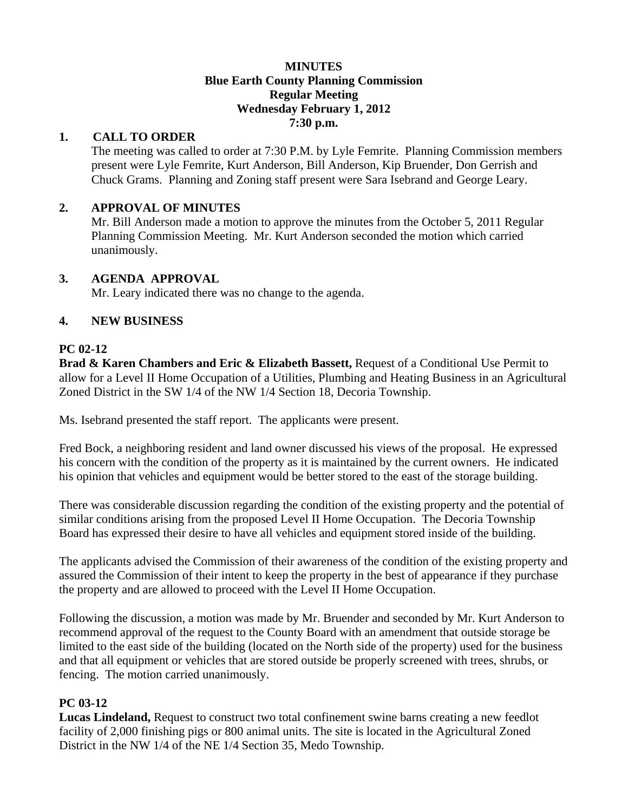#### **MINUTES Blue Earth County Planning Commission Regular Meeting Wednesday February 1, 2012 7:30 p.m.**

## **1. CALL TO ORDER**

The meeting was called to order at 7:30 P.M. by Lyle Femrite. Planning Commission members present were Lyle Femrite, Kurt Anderson, Bill Anderson, Kip Bruender, Don Gerrish and Chuck Grams. Planning and Zoning staff present were Sara Isebrand and George Leary.

## **2. APPROVAL OF MINUTES**

Mr. Bill Anderson made a motion to approve the minutes from the October 5, 2011 Regular Planning Commission Meeting. Mr. Kurt Anderson seconded the motion which carried unanimously.

## **3. AGENDA APPROVAL**

Mr. Leary indicated there was no change to the agenda.

### **4. NEW BUSINESS**

### **PC 02-12**

**Brad & Karen Chambers and Eric & Elizabeth Bassett,** Request of a Conditional Use Permit to allow for a Level II Home Occupation of a Utilities, Plumbing and Heating Business in an Agricultural Zoned District in the SW 1/4 of the NW 1/4 Section 18, Decoria Township.

Ms. Isebrand presented the staff report. The applicants were present.

Fred Bock, a neighboring resident and land owner discussed his views of the proposal. He expressed his concern with the condition of the property as it is maintained by the current owners. He indicated his opinion that vehicles and equipment would be better stored to the east of the storage building.

There was considerable discussion regarding the condition of the existing property and the potential of similar conditions arising from the proposed Level II Home Occupation. The Decoria Township Board has expressed their desire to have all vehicles and equipment stored inside of the building.

The applicants advised the Commission of their awareness of the condition of the existing property and assured the Commission of their intent to keep the property in the best of appearance if they purchase the property and are allowed to proceed with the Level II Home Occupation.

Following the discussion, a motion was made by Mr. Bruender and seconded by Mr. Kurt Anderson to recommend approval of the request to the County Board with an amendment that outside storage be limited to the east side of the building (located on the North side of the property) used for the business and that all equipment or vehicles that are stored outside be properly screened with trees, shrubs, or fencing. The motion carried unanimously.

### **PC 03-12**

**Lucas Lindeland,** Request to construct two total confinement swine barns creating a new feedlot facility of 2,000 finishing pigs or 800 animal units. The site is located in the Agricultural Zoned District in the NW 1/4 of the NE 1/4 Section 35, Medo Township.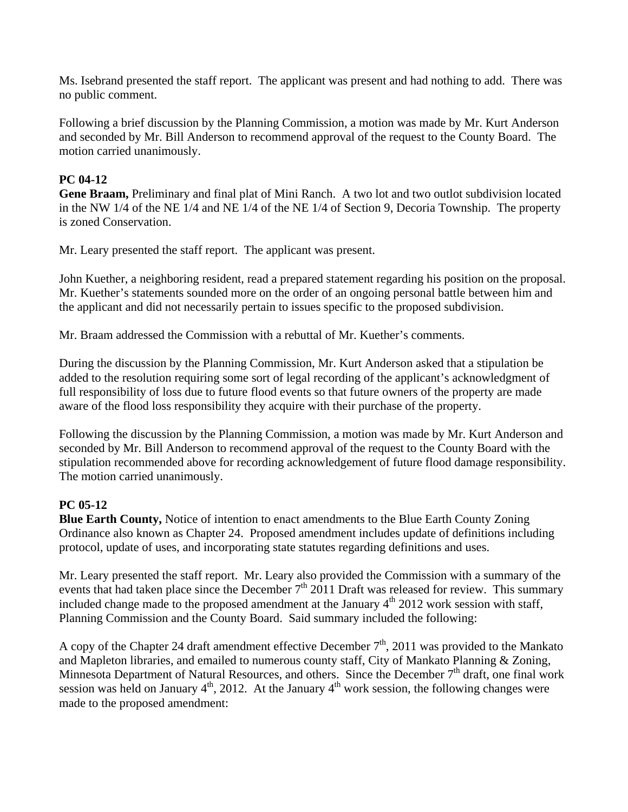Ms. Isebrand presented the staff report. The applicant was present and had nothing to add. There was no public comment.

Following a brief discussion by the Planning Commission, a motion was made by Mr. Kurt Anderson and seconded by Mr. Bill Anderson to recommend approval of the request to the County Board. The motion carried unanimously.

## **PC 04-12**

**Gene Braam,** Preliminary and final plat of Mini Ranch. A two lot and two outlot subdivision located in the NW 1/4 of the NE 1/4 and NE 1/4 of the NE 1/4 of Section 9, Decoria Township. The property is zoned Conservation.

Mr. Leary presented the staff report. The applicant was present.

John Kuether, a neighboring resident, read a prepared statement regarding his position on the proposal. Mr. Kuether's statements sounded more on the order of an ongoing personal battle between him and the applicant and did not necessarily pertain to issues specific to the proposed subdivision.

Mr. Braam addressed the Commission with a rebuttal of Mr. Kuether's comments.

During the discussion by the Planning Commission, Mr. Kurt Anderson asked that a stipulation be added to the resolution requiring some sort of legal recording of the applicant's acknowledgment of full responsibility of loss due to future flood events so that future owners of the property are made aware of the flood loss responsibility they acquire with their purchase of the property.

Following the discussion by the Planning Commission, a motion was made by Mr. Kurt Anderson and seconded by Mr. Bill Anderson to recommend approval of the request to the County Board with the stipulation recommended above for recording acknowledgement of future flood damage responsibility. The motion carried unanimously.

# **PC 05-12**

**Blue Earth County,** Notice of intention to enact amendments to the Blue Earth County Zoning Ordinance also known as Chapter 24. Proposed amendment includes update of definitions including protocol, update of uses, and incorporating state statutes regarding definitions and uses.

Mr. Leary presented the staff report. Mr. Leary also provided the Commission with a summary of the events that had taken place since the December  $7<sup>th</sup>$  2011 Draft was released for review. This summary included change made to the proposed amendment at the January  $4<sup>th</sup>$  2012 work session with staff, Planning Commission and the County Board. Said summary included the following:

A copy of the Chapter 24 draft amendment effective December  $7<sup>th</sup>$ , 2011 was provided to the Mankato and Mapleton libraries, and emailed to numerous county staff, City of Mankato Planning & Zoning, Minnesota Department of Natural Resources, and others. Since the December  $7<sup>th</sup>$  draft, one final work session was held on January  $4<sup>th</sup>$ , 2012. At the January  $4<sup>th</sup>$  work session, the following changes were made to the proposed amendment: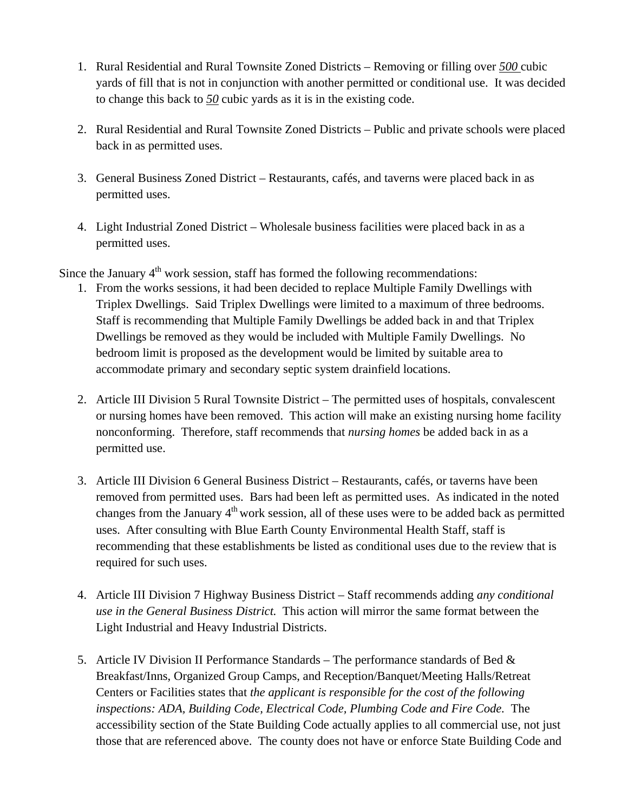- 1. Rural Residential and Rural Townsite Zoned Districts Removing or filling over *500* cubic yards of fill that is not in conjunction with another permitted or conditional use. It was decided to change this back to *50* cubic yards as it is in the existing code.
- 2. Rural Residential and Rural Townsite Zoned Districts Public and private schools were placed back in as permitted uses.
- 3. General Business Zoned District Restaurants, cafés, and taverns were placed back in as permitted uses.
- 4. Light Industrial Zoned District Wholesale business facilities were placed back in as a permitted uses.

Since the January  $4<sup>th</sup>$  work session, staff has formed the following recommendations:

- 1. From the works sessions, it had been decided to replace Multiple Family Dwellings with Triplex Dwellings. Said Triplex Dwellings were limited to a maximum of three bedrooms. Staff is recommending that Multiple Family Dwellings be added back in and that Triplex Dwellings be removed as they would be included with Multiple Family Dwellings. No bedroom limit is proposed as the development would be limited by suitable area to accommodate primary and secondary septic system drainfield locations.
- 2. Article III Division 5 Rural Townsite District The permitted uses of hospitals, convalescent or nursing homes have been removed. This action will make an existing nursing home facility nonconforming. Therefore, staff recommends that *nursing homes* be added back in as a permitted use.
- 3. Article III Division 6 General Business District Restaurants, cafés, or taverns have been removed from permitted uses. Bars had been left as permitted uses. As indicated in the noted changes from the January  $4<sup>th</sup>$  work session, all of these uses were to be added back as permitted uses. After consulting with Blue Earth County Environmental Health Staff, staff is recommending that these establishments be listed as conditional uses due to the review that is required for such uses.
- 4. Article III Division 7 Highway Business District Staff recommends adding *any conditional use in the General Business District.* This action will mirror the same format between the Light Industrial and Heavy Industrial Districts.
- 5. Article IV Division II Performance Standards The performance standards of Bed  $\&$ Breakfast/Inns, Organized Group Camps, and Reception/Banquet/Meeting Halls/Retreat Centers or Facilities states that *the applicant is responsible for the cost of the following inspections: ADA, Building Code, Electrical Code, Plumbing Code and Fire Code.* The accessibility section of the State Building Code actually applies to all commercial use, not just those that are referenced above. The county does not have or enforce State Building Code and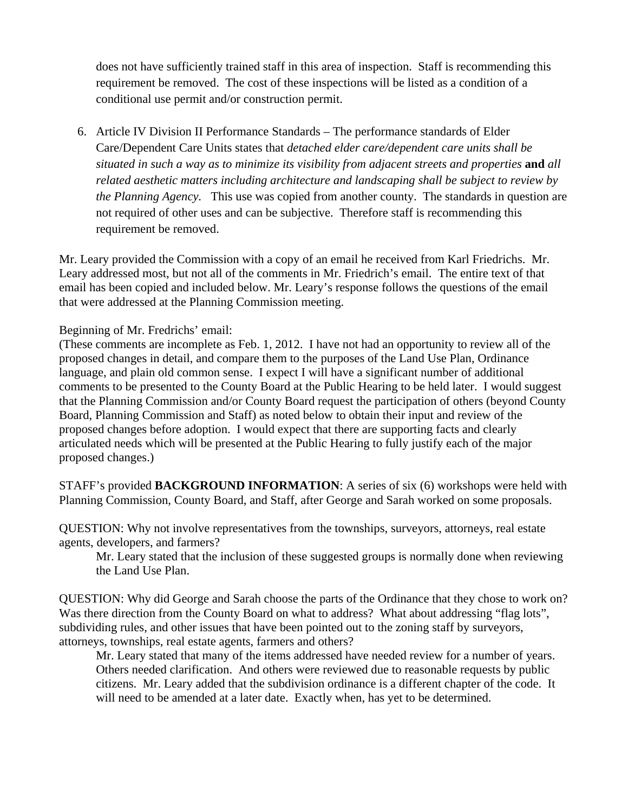does not have sufficiently trained staff in this area of inspection. Staff is recommending this requirement be removed. The cost of these inspections will be listed as a condition of a conditional use permit and/or construction permit.

6. Article IV Division II Performance Standards – The performance standards of Elder Care/Dependent Care Units states that *detached elder care/dependent care units shall be situated in such a way as to minimize its visibility from adjacent streets and properties* **and** *all related aesthetic matters including architecture and landscaping shall be subject to review by the Planning Agency.* This use was copied from another county. The standards in question are not required of other uses and can be subjective. Therefore staff is recommending this requirement be removed.

Mr. Leary provided the Commission with a copy of an email he received from Karl Friedrichs. Mr. Leary addressed most, but not all of the comments in Mr. Friedrich's email. The entire text of that email has been copied and included below. Mr. Leary's response follows the questions of the email that were addressed at the Planning Commission meeting.

Beginning of Mr. Fredrichs' email:

(These comments are incomplete as Feb. 1, 2012. I have not had an opportunity to review all of the proposed changes in detail, and compare them to the purposes of the Land Use Plan, Ordinance language, and plain old common sense. I expect I will have a significant number of additional comments to be presented to the County Board at the Public Hearing to be held later. I would suggest that the Planning Commission and/or County Board request the participation of others (beyond County Board, Planning Commission and Staff) as noted below to obtain their input and review of the proposed changes before adoption. I would expect that there are supporting facts and clearly articulated needs which will be presented at the Public Hearing to fully justify each of the major proposed changes.)

STAFF's provided **BACKGROUND INFORMATION**: A series of six (6) workshops were held with Planning Commission, County Board, and Staff, after George and Sarah worked on some proposals.

QUESTION: Why not involve representatives from the townships, surveyors, attorneys, real estate agents, developers, and farmers?

 Mr. Leary stated that the inclusion of these suggested groups is normally done when reviewing the Land Use Plan.

QUESTION: Why did George and Sarah choose the parts of the Ordinance that they chose to work on? Was there direction from the County Board on what to address? What about addressing "flag lots", subdividing rules, and other issues that have been pointed out to the zoning staff by surveyors, attorneys, townships, real estate agents, farmers and others?

 Mr. Leary stated that many of the items addressed have needed review for a number of years. Others needed clarification. And others were reviewed due to reasonable requests by public citizens. Mr. Leary added that the subdivision ordinance is a different chapter of the code. It will need to be amended at a later date. Exactly when, has yet to be determined.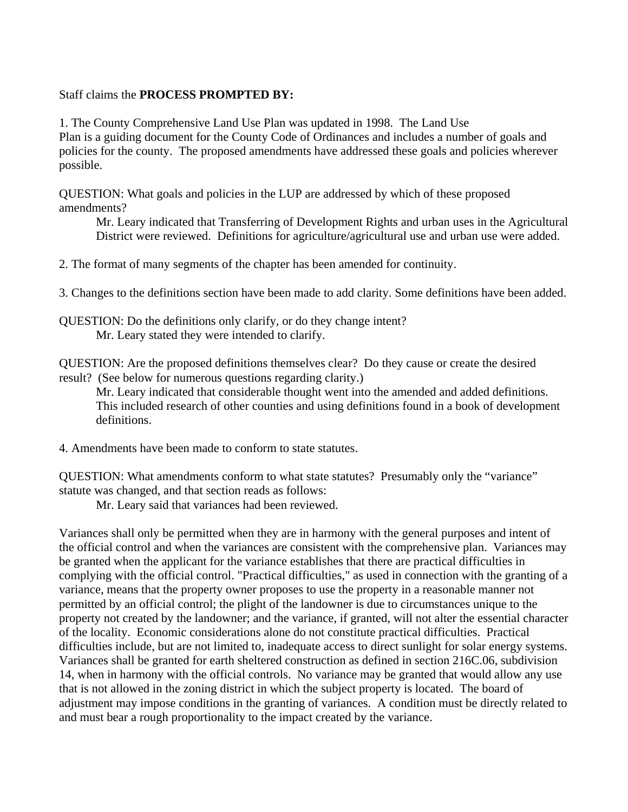#### Staff claims the **PROCESS PROMPTED BY:**

1. The County Comprehensive Land Use Plan was updated in 1998. The Land Use Plan is a guiding document for the County Code of Ordinances and includes a number of goals and policies for the county. The proposed amendments have addressed these goals and policies wherever possible.

QUESTION: What goals and policies in the LUP are addressed by which of these proposed amendments?

 Mr. Leary indicated that Transferring of Development Rights and urban uses in the Agricultural District were reviewed. Definitions for agriculture/agricultural use and urban use were added.

2. The format of many segments of the chapter has been amended for continuity.

3. Changes to the definitions section have been made to add clarity. Some definitions have been added.

QUESTION: Do the definitions only clarify, or do they change intent? Mr. Leary stated they were intended to clarify.

QUESTION: Are the proposed definitions themselves clear? Do they cause or create the desired result? (See below for numerous questions regarding clarity.)

 Mr. Leary indicated that considerable thought went into the amended and added definitions. This included research of other counties and using definitions found in a book of development definitions.

4. Amendments have been made to conform to state statutes.

QUESTION: What amendments conform to what state statutes? Presumably only the "variance" statute was changed, and that section reads as follows:

Mr. Leary said that variances had been reviewed.

Variances shall only be permitted when they are in harmony with the general purposes and intent of the official control and when the variances are consistent with the comprehensive plan. Variances may be granted when the applicant for the variance establishes that there are practical difficulties in complying with the official control. "Practical difficulties," as used in connection with the granting of a variance, means that the property owner proposes to use the property in a reasonable manner not permitted by an official control; the plight of the landowner is due to circumstances unique to the property not created by the landowner; and the variance, if granted, will not alter the essential character of the locality. Economic considerations alone do not constitute practical difficulties. Practical difficulties include, but are not limited to, inadequate access to direct sunlight for solar energy systems. Variances shall be granted for earth sheltered construction as defined in section 216C.06, subdivision 14, when in harmony with the official controls. No variance may be granted that would allow any use that is not allowed in the zoning district in which the subject property is located. The board of adjustment may impose conditions in the granting of variances. A condition must be directly related to and must bear a rough proportionality to the impact created by the variance.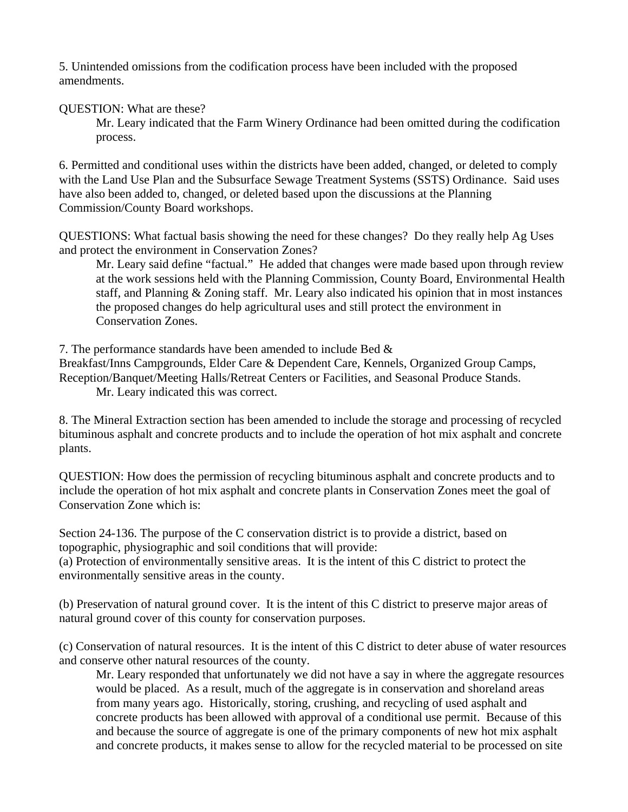5. Unintended omissions from the codification process have been included with the proposed amendments.

QUESTION: What are these?

 Mr. Leary indicated that the Farm Winery Ordinance had been omitted during the codification process.

6. Permitted and conditional uses within the districts have been added, changed, or deleted to comply with the Land Use Plan and the Subsurface Sewage Treatment Systems (SSTS) Ordinance. Said uses have also been added to, changed, or deleted based upon the discussions at the Planning Commission/County Board workshops.

QUESTIONS: What factual basis showing the need for these changes? Do they really help Ag Uses and protect the environment in Conservation Zones?

 Mr. Leary said define "factual." He added that changes were made based upon through review at the work sessions held with the Planning Commission, County Board, Environmental Health staff, and Planning & Zoning staff. Mr. Leary also indicated his opinion that in most instances the proposed changes do help agricultural uses and still protect the environment in Conservation Zones.

7. The performance standards have been amended to include Bed &

Breakfast/Inns Campgrounds, Elder Care & Dependent Care, Kennels, Organized Group Camps, Reception/Banquet/Meeting Halls/Retreat Centers or Facilities, and Seasonal Produce Stands.

Mr. Leary indicated this was correct.

8. The Mineral Extraction section has been amended to include the storage and processing of recycled bituminous asphalt and concrete products and to include the operation of hot mix asphalt and concrete plants.

QUESTION: How does the permission of recycling bituminous asphalt and concrete products and to include the operation of hot mix asphalt and concrete plants in Conservation Zones meet the goal of Conservation Zone which is:

Section 24-136. The purpose of the C conservation district is to provide a district, based on topographic, physiographic and soil conditions that will provide:

(a) Protection of environmentally sensitive areas. It is the intent of this C district to protect the environmentally sensitive areas in the county.

(b) Preservation of natural ground cover. It is the intent of this C district to preserve major areas of natural ground cover of this county for conservation purposes.

(c) Conservation of natural resources. It is the intent of this C district to deter abuse of water resources and conserve other natural resources of the county.

 Mr. Leary responded that unfortunately we did not have a say in where the aggregate resources would be placed. As a result, much of the aggregate is in conservation and shoreland areas from many years ago. Historically, storing, crushing, and recycling of used asphalt and concrete products has been allowed with approval of a conditional use permit. Because of this and because the source of aggregate is one of the primary components of new hot mix asphalt and concrete products, it makes sense to allow for the recycled material to be processed on site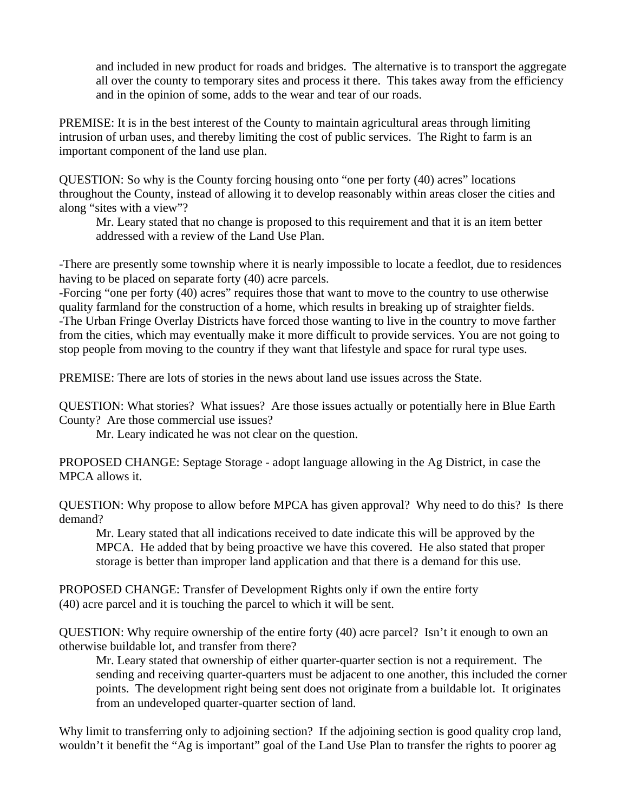and included in new product for roads and bridges. The alternative is to transport the aggregate all over the county to temporary sites and process it there. This takes away from the efficiency and in the opinion of some, adds to the wear and tear of our roads.

PREMISE: It is in the best interest of the County to maintain agricultural areas through limiting intrusion of urban uses, and thereby limiting the cost of public services. The Right to farm is an important component of the land use plan.

QUESTION: So why is the County forcing housing onto "one per forty (40) acres" locations throughout the County, instead of allowing it to develop reasonably within areas closer the cities and along "sites with a view"?

 Mr. Leary stated that no change is proposed to this requirement and that it is an item better addressed with a review of the Land Use Plan.

-There are presently some township where it is nearly impossible to locate a feedlot, due to residences having to be placed on separate forty (40) acre parcels.

-Forcing "one per forty (40) acres" requires those that want to move to the country to use otherwise quality farmland for the construction of a home, which results in breaking up of straighter fields. -The Urban Fringe Overlay Districts have forced those wanting to live in the country to move farther from the cities, which may eventually make it more difficult to provide services. You are not going to stop people from moving to the country if they want that lifestyle and space for rural type uses.

PREMISE: There are lots of stories in the news about land use issues across the State.

QUESTION: What stories? What issues? Are those issues actually or potentially here in Blue Earth County? Are those commercial use issues?

Mr. Leary indicated he was not clear on the question.

PROPOSED CHANGE: Septage Storage - adopt language allowing in the Ag District, in case the MPCA allows it.

QUESTION: Why propose to allow before MPCA has given approval? Why need to do this? Is there demand?

 Mr. Leary stated that all indications received to date indicate this will be approved by the MPCA. He added that by being proactive we have this covered. He also stated that proper storage is better than improper land application and that there is a demand for this use.

PROPOSED CHANGE: Transfer of Development Rights only if own the entire forty (40) acre parcel and it is touching the parcel to which it will be sent.

QUESTION: Why require ownership of the entire forty (40) acre parcel? Isn't it enough to own an otherwise buildable lot, and transfer from there?

 Mr. Leary stated that ownership of either quarter-quarter section is not a requirement. The sending and receiving quarter-quarters must be adjacent to one another, this included the corner points. The development right being sent does not originate from a buildable lot. It originates from an undeveloped quarter-quarter section of land.

Why limit to transferring only to adjoining section? If the adjoining section is good quality crop land, wouldn't it benefit the "Ag is important" goal of the Land Use Plan to transfer the rights to poorer ag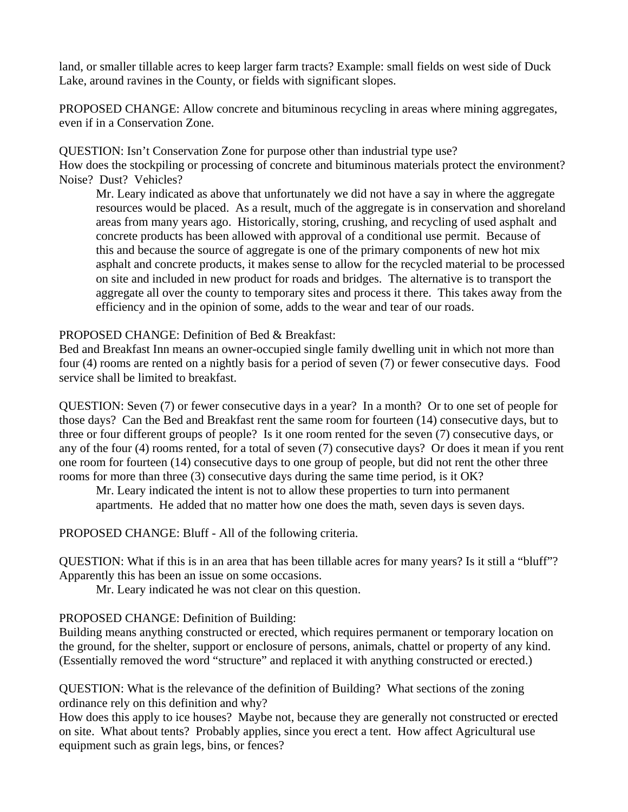land, or smaller tillable acres to keep larger farm tracts? Example: small fields on west side of Duck Lake, around ravines in the County, or fields with significant slopes.

PROPOSED CHANGE: Allow concrete and bituminous recycling in areas where mining aggregates, even if in a Conservation Zone.

QUESTION: Isn't Conservation Zone for purpose other than industrial type use?

How does the stockpiling or processing of concrete and bituminous materials protect the environment? Noise? Dust? Vehicles?

 Mr. Leary indicated as above that unfortunately we did not have a say in where the aggregate resources would be placed. As a result, much of the aggregate is in conservation and shoreland areas from many years ago. Historically, storing, crushing, and recycling of used asphalt and concrete products has been allowed with approval of a conditional use permit. Because of this and because the source of aggregate is one of the primary components of new hot mix asphalt and concrete products, it makes sense to allow for the recycled material to be processed on site and included in new product for roads and bridges. The alternative is to transport the aggregate all over the county to temporary sites and process it there. This takes away from the efficiency and in the opinion of some, adds to the wear and tear of our roads.

PROPOSED CHANGE: Definition of Bed & Breakfast:

Bed and Breakfast Inn means an owner-occupied single family dwelling unit in which not more than four (4) rooms are rented on a nightly basis for a period of seven (7) or fewer consecutive days. Food service shall be limited to breakfast.

QUESTION: Seven (7) or fewer consecutive days in a year? In a month? Or to one set of people for those days? Can the Bed and Breakfast rent the same room for fourteen (14) consecutive days, but to three or four different groups of people? Is it one room rented for the seven (7) consecutive days, or any of the four (4) rooms rented, for a total of seven (7) consecutive days? Or does it mean if you rent one room for fourteen (14) consecutive days to one group of people, but did not rent the other three rooms for more than three (3) consecutive days during the same time period, is it OK?

 Mr. Leary indicated the intent is not to allow these properties to turn into permanent apartments. He added that no matter how one does the math, seven days is seven days.

PROPOSED CHANGE: Bluff - All of the following criteria.

QUESTION: What if this is in an area that has been tillable acres for many years? Is it still a "bluff"? Apparently this has been an issue on some occasions.

Mr. Leary indicated he was not clear on this question.

### PROPOSED CHANGE: Definition of Building:

Building means anything constructed or erected, which requires permanent or temporary location on the ground, for the shelter, support or enclosure of persons, animals, chattel or property of any kind. (Essentially removed the word "structure" and replaced it with anything constructed or erected.)

QUESTION: What is the relevance of the definition of Building? What sections of the zoning ordinance rely on this definition and why?

How does this apply to ice houses? Maybe not, because they are generally not constructed or erected on site. What about tents? Probably applies, since you erect a tent. How affect Agricultural use equipment such as grain legs, bins, or fences?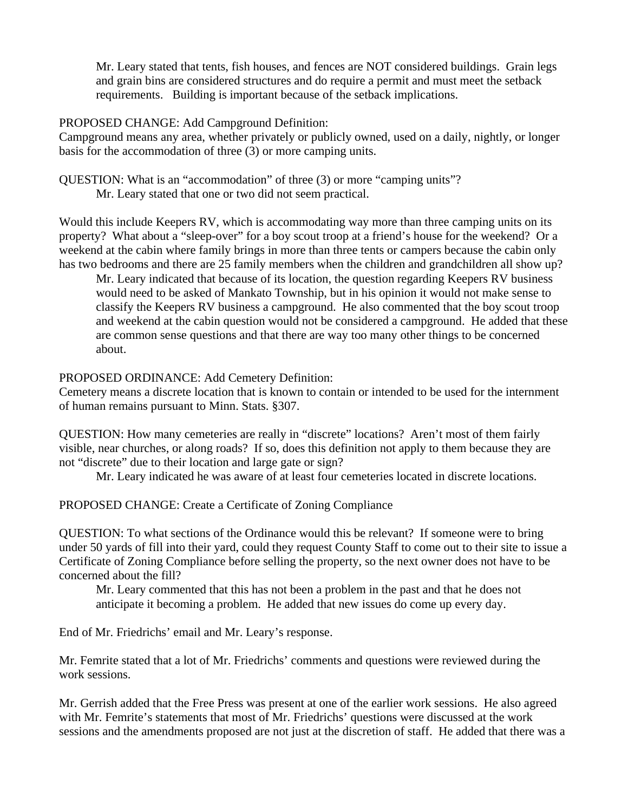Mr. Leary stated that tents, fish houses, and fences are NOT considered buildings. Grain legs and grain bins are considered structures and do require a permit and must meet the setback requirements. Building is important because of the setback implications.

#### PROPOSED CHANGE: Add Campground Definition:

Campground means any area, whether privately or publicly owned, used on a daily, nightly, or longer basis for the accommodation of three (3) or more camping units.

QUESTION: What is an "accommodation" of three (3) or more "camping units"? Mr. Leary stated that one or two did not seem practical.

Would this include Keepers RV, which is accommodating way more than three camping units on its property? What about a "sleep-over" for a boy scout troop at a friend's house for the weekend? Or a weekend at the cabin where family brings in more than three tents or campers because the cabin only has two bedrooms and there are 25 family members when the children and grandchildren all show up?

 Mr. Leary indicated that because of its location, the question regarding Keepers RV business would need to be asked of Mankato Township, but in his opinion it would not make sense to classify the Keepers RV business a campground. He also commented that the boy scout troop and weekend at the cabin question would not be considered a campground. He added that these are common sense questions and that there are way too many other things to be concerned about.

### PROPOSED ORDINANCE: Add Cemetery Definition:

Cemetery means a discrete location that is known to contain or intended to be used for the internment of human remains pursuant to Minn. Stats. §307.

QUESTION: How many cemeteries are really in "discrete" locations? Aren't most of them fairly visible, near churches, or along roads? If so, does this definition not apply to them because they are not "discrete" due to their location and large gate or sign?

Mr. Leary indicated he was aware of at least four cemeteries located in discrete locations.

PROPOSED CHANGE: Create a Certificate of Zoning Compliance

QUESTION: To what sections of the Ordinance would this be relevant? If someone were to bring under 50 yards of fill into their yard, could they request County Staff to come out to their site to issue a Certificate of Zoning Compliance before selling the property, so the next owner does not have to be concerned about the fill?

 Mr. Leary commented that this has not been a problem in the past and that he does not anticipate it becoming a problem. He added that new issues do come up every day.

End of Mr. Friedrichs' email and Mr. Leary's response.

Mr. Femrite stated that a lot of Mr. Friedrichs' comments and questions were reviewed during the work sessions.

Mr. Gerrish added that the Free Press was present at one of the earlier work sessions. He also agreed with Mr. Femrite's statements that most of Mr. Friedrichs' questions were discussed at the work sessions and the amendments proposed are not just at the discretion of staff. He added that there was a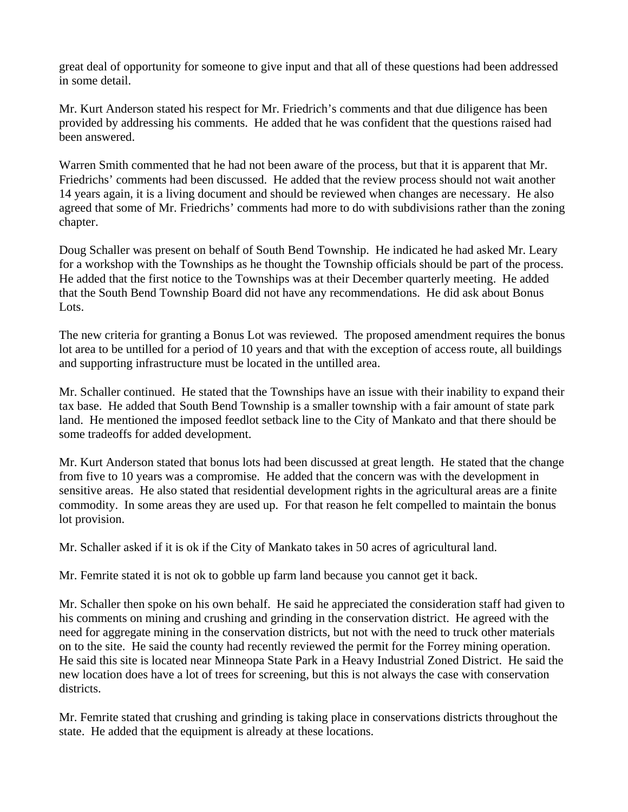great deal of opportunity for someone to give input and that all of these questions had been addressed in some detail.

Mr. Kurt Anderson stated his respect for Mr. Friedrich's comments and that due diligence has been provided by addressing his comments. He added that he was confident that the questions raised had been answered.

Warren Smith commented that he had not been aware of the process, but that it is apparent that Mr. Friedrichs' comments had been discussed. He added that the review process should not wait another 14 years again, it is a living document and should be reviewed when changes are necessary. He also agreed that some of Mr. Friedrichs' comments had more to do with subdivisions rather than the zoning chapter.

Doug Schaller was present on behalf of South Bend Township. He indicated he had asked Mr. Leary for a workshop with the Townships as he thought the Township officials should be part of the process. He added that the first notice to the Townships was at their December quarterly meeting. He added that the South Bend Township Board did not have any recommendations. He did ask about Bonus Lots.

The new criteria for granting a Bonus Lot was reviewed. The proposed amendment requires the bonus lot area to be untilled for a period of 10 years and that with the exception of access route, all buildings and supporting infrastructure must be located in the untilled area.

Mr. Schaller continued. He stated that the Townships have an issue with their inability to expand their tax base. He added that South Bend Township is a smaller township with a fair amount of state park land. He mentioned the imposed feedlot setback line to the City of Mankato and that there should be some tradeoffs for added development.

Mr. Kurt Anderson stated that bonus lots had been discussed at great length. He stated that the change from five to 10 years was a compromise. He added that the concern was with the development in sensitive areas. He also stated that residential development rights in the agricultural areas are a finite commodity. In some areas they are used up. For that reason he felt compelled to maintain the bonus lot provision.

Mr. Schaller asked if it is ok if the City of Mankato takes in 50 acres of agricultural land.

Mr. Femrite stated it is not ok to gobble up farm land because you cannot get it back.

Mr. Schaller then spoke on his own behalf. He said he appreciated the consideration staff had given to his comments on mining and crushing and grinding in the conservation district. He agreed with the need for aggregate mining in the conservation districts, but not with the need to truck other materials on to the site. He said the county had recently reviewed the permit for the Forrey mining operation. He said this site is located near Minneopa State Park in a Heavy Industrial Zoned District. He said the new location does have a lot of trees for screening, but this is not always the case with conservation districts.

Mr. Femrite stated that crushing and grinding is taking place in conservations districts throughout the state. He added that the equipment is already at these locations.